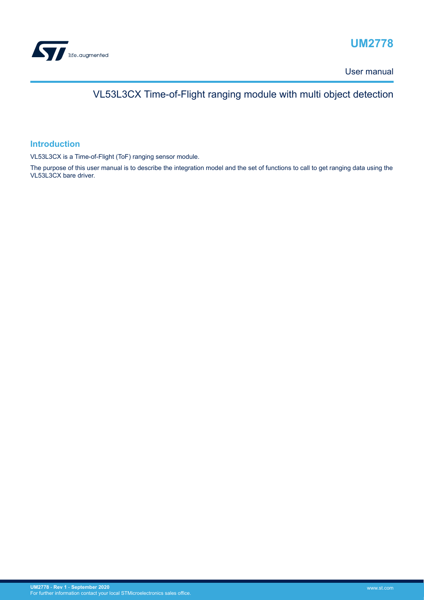

# **UM2778**

User manual

# VL53L3CX Time-of-Flight ranging module with multi object detection

## **Introduction**

VL53L3CX is a Time-of-Flight (ToF) ranging sensor module.

The purpose of this user manual is to describe the integration model and the set of functions to call to get ranging data using the VL53L3CX bare driver.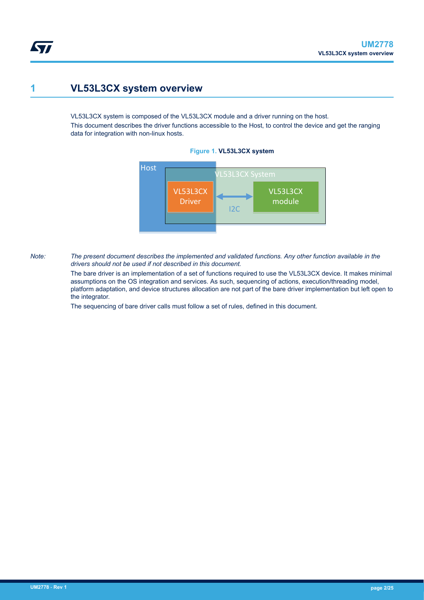## **1 VL53L3CX system overview**

<span id="page-1-0"></span>577

VL53L3CX system is composed of the VL53L3CX module and a driver running on the host.

This document describes the driver functions accessible to the Host, to control the device and get the ranging data for integration with non-linux hosts.





*Note: The present document describes the implemented and validated functions. Any other function available in the drivers should not be used if not described in this document.*

> The bare driver is an implementation of a set of functions required to use the VL53L3CX device. It makes minimal assumptions on the OS integration and services. As such, sequencing of actions, execution/threading model, platform adaptation, and device structures allocation are not part of the bare driver implementation but left open to the integrator.

The sequencing of bare driver calls must follow a set of rules, defined in this document.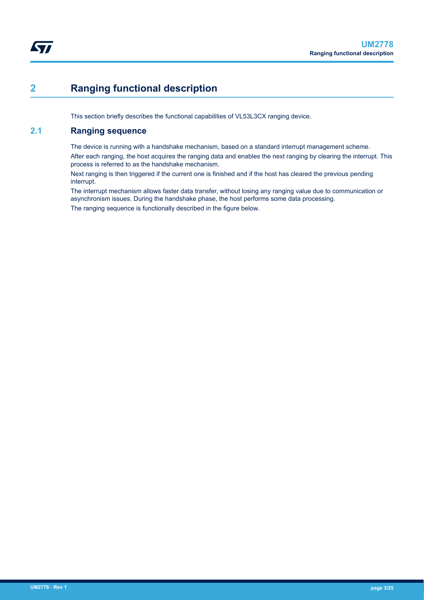# <span id="page-2-0"></span>**2 Ranging functional description**

This section briefly describes the functional capabilities of VL53L3CX ranging device.

## **2.1 Ranging sequence**

The device is running with a handshake mechanism, based on a standard interrupt management scheme. After each ranging, the host acquires the ranging data and enables the next ranging by clearing the interrupt. This process is referred to as the handshake mechanism.

Next ranging is then triggered if the current one is finished and if the host has cleared the previous pending interrupt.

The interrupt mechanism allows faster data transfer, without losing any ranging value due to communication or asynchronism issues. During the handshake phase, the host performs some data processing. The ranging sequence is functionally described in the figure below.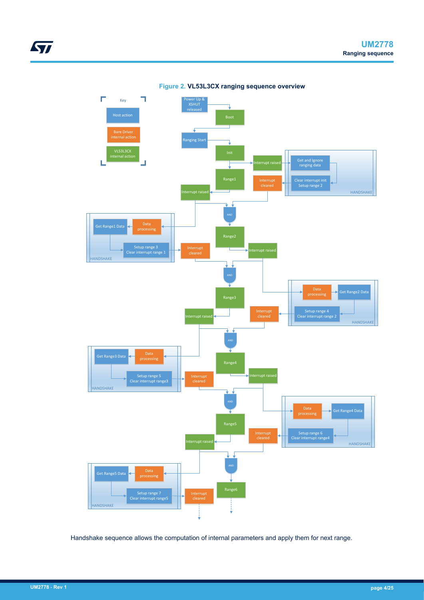

**Figure 2. VL53L3CX ranging sequence overview**

Handshake sequence allows the computation of internal parameters and apply them for next range.

ST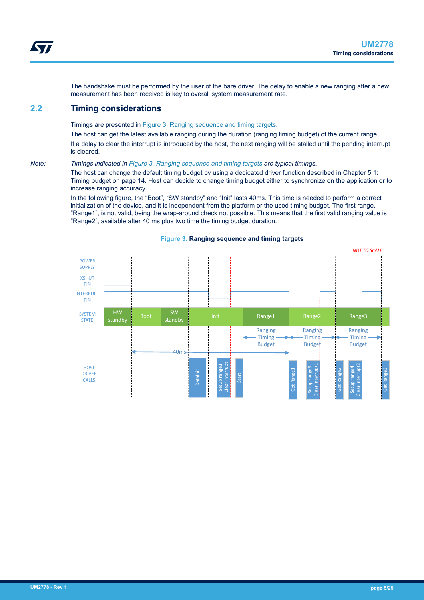<span id="page-4-0"></span>The handshake must be performed by the user of the bare driver. The delay to enable a new ranging after a new measurement has been received is key to overall system measurement rate.

## **2.2 Timing considerations**

Timings are presented in Figure 3. Ranging sequence and timing targets.

The host can get the latest available ranging during the duration (ranging timing budget) of the current range. If a delay to clear the interrupt is introduced by the host, the next ranging will be stalled until the pending interrupt is cleared.

#### *Note: Timings indicated in Figure 3. Ranging sequence and timing targets are typical timings.*

The host can change the default timing budget by using a dedicated driver function described in Chapter 5.1: Timing budget on page 14. Host can decide to change timing budget either to synchronize on the application or to increase ranging accuracy.

In the following figure, the "Boot", "SW standby" and "Init" lasts 40ms. This time is needed to perform a correct initialization of the device, and it is independent from the platform or the used timing budget. The first range, "Range1", is not valid, being the wrap-around check not possible. This means that the first valid ranging value is "Range2", available after 40 ms plus two time the timing budget duration.



#### **Figure 3. Ranging sequence and timing targets**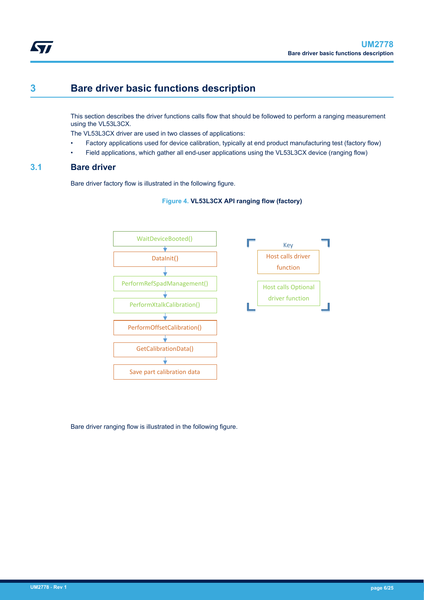<span id="page-5-0"></span>**S77** 

## **3 Bare driver basic functions description**

This section describes the driver functions calls flow that should be followed to perform a ranging measurement using the VL53L3CX.

The VL53L3CX driver are used in two classes of applications:

- Factory applications used for device calibration, typically at end product manufacturing test (factory flow)
- Field applications, which gather all end-user applications using the VL53L3CX device (ranging flow)

## **3.1 Bare driver**

Bare driver factory flow is illustrated in the following figure.





Bare driver ranging flow is illustrated in the following figure.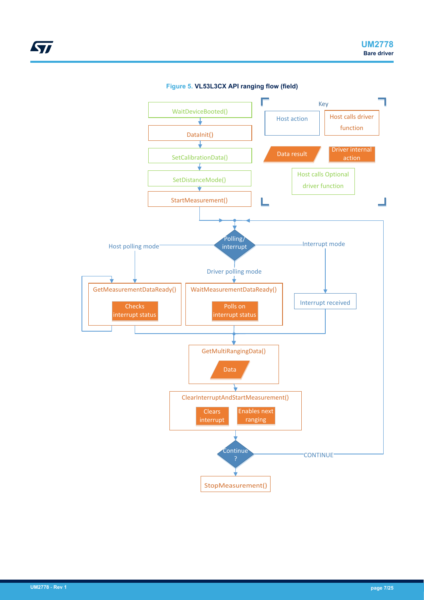

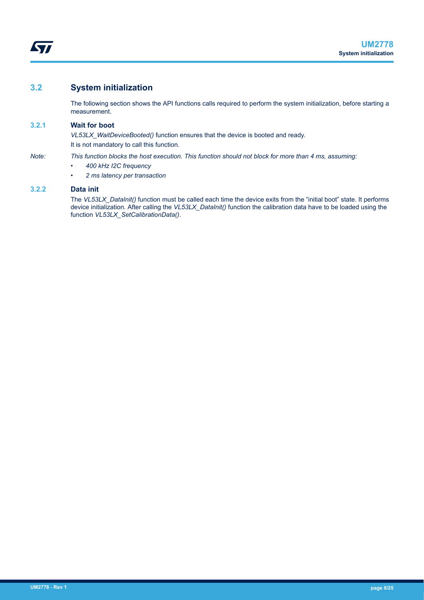## <span id="page-7-0"></span>**3.2 System initialization**

The following section shows the API functions calls required to perform the system initialization, before starting a measurement.

## **3.2.1 Wait for boot**

*VL53LX\_WaitDeviceBooted()* function ensures that the device is booted and ready. It is not mandatory to call this function.

#### *Note: This function blocks the host execution. This function should not block for more than 4 ms, assuming:*

- *400 kHz I2C frequency*
- *2 ms latency per transaction*

### **3.2.2 Data init**

The VL53LX\_DataInit() function must be called each time the device exits from the "initial boot" state. It performs device initialization. After calling the *VL53LX\_DataInit()* function the calibration data have to be loaded using the function *VL53LX\_SetCalibrationData()*.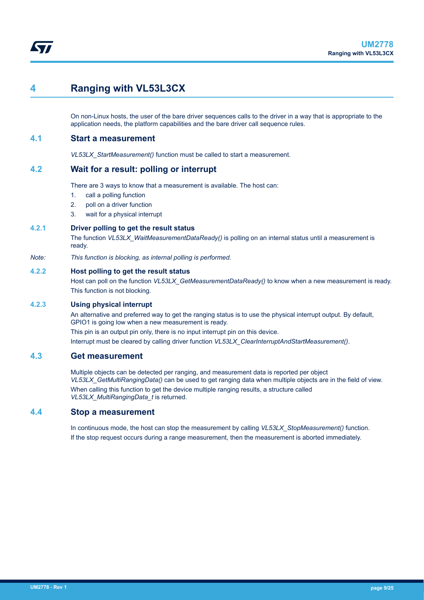## <span id="page-8-0"></span>**4 Ranging with VL53L3CX**

On non-Linux hosts, the user of the bare driver sequences calls to the driver in a way that is appropriate to the application needs, the platform capabilities and the bare driver call sequence rules.

## **4.1 Start a measurement**

*VL53LX\_StartMeasurement()* function must be called to start a measurement.

## **4.2 Wait for a result: polling or interrupt**

There are 3 ways to know that a measurement is available. The host can:

- 1. call a polling function
- 2. poll on a driver function
- 3. wait for a physical interrupt

#### **4.2.1 Driver polling to get the result status**

The function *VL53LX\_WaitMeasurementDataReady()* is polling on an internal status until a measurement is ready.

*Note: This function is blocking, as internal polling is performed.*

### **4.2.2 Host polling to get the result status**

Host can poll on the function *VL53LX\_GetMeasurementDataReady()* to know when a new measurement is ready. This function is not blocking.

#### **4.2.3 Using physical interrupt**

An alternative and preferred way to get the ranging status is to use the physical interrupt output. By default, GPIO1 is going low when a new measurement is ready.

This pin is an output pin only, there is no input interrupt pin on this device. Interrupt must be cleared by calling driver function *VL53LX\_ClearInterruptAndStartMeasurement()*.

## **4.3 Get measurement**

Multiple objects can be detected per ranging, and measurement data is reported per object *VL53LX\_GetMultiRangingData()* can be used to get ranging data when multiple objects are in the field of view. When calling this function to get the device multiple ranging results, a structure called *VL53LX\_MultiRangingData\_t* is returned.

## **4.4 Stop a measurement**

In continuous mode, the host can stop the measurement by calling *VL53LX\_StopMeasurement()* function. If the stop request occurs during a range measurement, then the measurement is aborted immediately.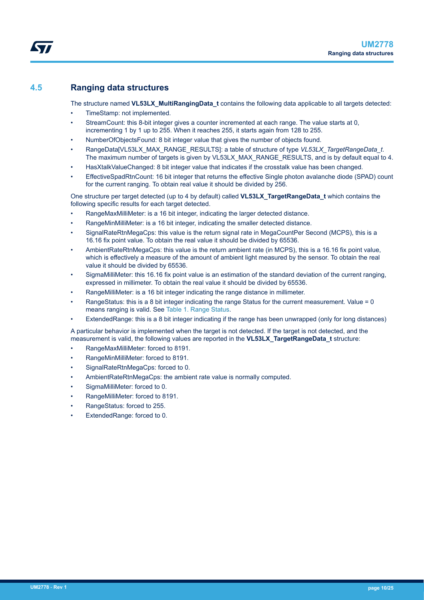## <span id="page-9-0"></span>**4.5 Ranging data structures**

The structure named **VL53LX\_MultiRangingData\_t** contains the following data applicable to all targets detected:

- TimeStamp: not implemented.
- StreamCount: this 8-bit integer gives a counter incremented at each range. The value starts at 0, incrementing 1 by 1 up to 255. When it reaches 255, it starts again from 128 to 255.
- NumberOfObjectsFound: 8 bit integer value that gives the number of objects found.
- RangeData[VL53LX\_MAX\_RANGE\_RESULTS]: a table of structure of type *VL53LX\_TargetRangeData\_t*. The maximum number of targets is given by VL53LX\_MAX\_RANGE\_RESULTS, and is by default equal to 4.
- HasXtalkValueChanged: 8 bit integer value that indicates if the crosstalk value has been changed.
- EffectiveSpadRtnCount: 16 bit integer that returns the effective Single photon avalanche diode (SPAD) count for the current ranging. To obtain real value it should be divided by 256.

One structure per target detected (up to 4 by default) called **VL53LX\_TargetRangeData\_t** which contains the following specific results for each target detected.

- RangeMaxMilliMeter: is a 16 bit integer, indicating the larger detected distance.
- RangeMinMilliMeter: is a 16 bit integer, indicating the smaller detected distance.
- SignalRateRtnMegaCps: this value is the return signal rate in MegaCountPer Second (MCPS), this is a 16.16 fix point value. To obtain the real value it should be divided by 65536.
- AmbientRateRtnMegaCps: this value is the return ambient rate (in MCPS), this is a 16.16 fix point value, which is effectively a measure of the amount of ambient light measured by the sensor. To obtain the real value it should be divided by 65536.
- SigmaMilliMeter: this 16.16 fix point value is an estimation of the standard deviation of the current ranging, expressed in millimeter. To obtain the real value it should be divided by 65536.
- RangeMilliMeter: is a 16 bit integer indicating the range distance in millimeter.
- RangeStatus: this is a 8 bit integer indicating the range Status for the current measurement. Value = 0 means ranging is valid. See [Table 1. Range Status](#page-10-0).
- ExtendedRange: this is a 8 bit integer indicating if the range has been unwrapped (only for long distances)

A particular behavior is implemented when the target is not detected. If the target is not detected, and the measurement is valid, the following values are reported in the **VL53LX\_TargetRangeData\_t** structure:

- RangeMaxMilliMeter: forced to 8191.
- RangeMinMilliMeter: forced to 8191.
- SignalRateRtnMegaCps: forced to 0.
- AmbientRateRtnMegaCps: the ambient rate value is normally computed.
- SigmaMilliMeter: forced to 0.
- RangeMilliMeter: forced to 8191.
- RangeStatus: forced to 255.
- ExtendedRange: forced to 0.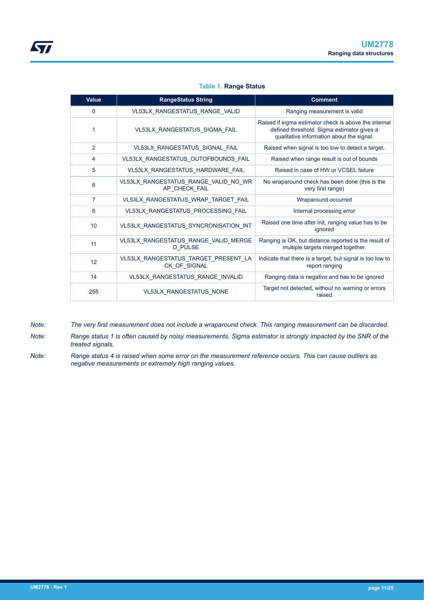### **Table 1. Range Status**

<span id="page-10-0"></span>

| <b>Value</b>   | <b>RangeStatus String</b>                              | <b>Comment</b>                                                                                                                                   |  |
|----------------|--------------------------------------------------------|--------------------------------------------------------------------------------------------------------------------------------------------------|--|
| 0              | VL53LX_RANGESTATUS_RANGE_VALID                         | Ranging measurement is valid                                                                                                                     |  |
| 1              | VL53LX RANGESTATUS SIGMA FAIL                          | Raised if sigma estimator check is above the internal<br>defined threshold. Sigma estimator gives a<br>qualitative information about the signal. |  |
| $\overline{2}$ | VL53LX_RANGESTATUS_SIGNAL_FAIL                         | Raised when signal is too low to detect a target.                                                                                                |  |
| 4              | VL53LX_RANGESTATUS_OUTOFBOUNDS_FAIL                    | Raised when range result is out of bounds                                                                                                        |  |
| 5              | VL53LX_RANGESTATUS_HARDWARE_FAIL                       | Raised in case of HW or VCSEL failure                                                                                                            |  |
| 6              | VL53LX_RANGESTATUS_RANGE_VALID_NO_WR<br>AP CHECK FAIL  | No wraparound check has been done (this is the<br>very first range)                                                                              |  |
| $\overline{7}$ | VL53LX_RANGESTATUS_WRAP_TARGET_FAIL                    | Wraparound occurred                                                                                                                              |  |
| 8              | VL53LX_RANGESTATUS_PROCESSING_FAIL                     | Internal processing error                                                                                                                        |  |
| 10             | VL53LX_RANGESTATUS_SYNCRONISATION_INT                  | Raised one time after init, ranging value has to be<br>ignored                                                                                   |  |
| 11             | VL53LX_RANGESTATUS_RANGE_VALID_MERGE<br><b>D PULSE</b> | Ranging is OK, but distance reported is the result of<br>multiple targets merged together.                                                       |  |
| 12             | VL53LX RANGESTATUS TARGET PRESENT LA<br>CK_OF_SIGNAL   | Indicate that there is a target, but signal is too low to<br>report ranging                                                                      |  |
| 14             | VL53LX_RANGESTATUS_RANGE_INVALID                       | Ranging data is negative and has to be ignored                                                                                                   |  |
| 255            | VL53LX_RANGESTATUS_NONE                                | Target not detected, without no warning or errors<br>raised                                                                                      |  |

- *Note: The very first measurement does not include a wraparound check. This ranging measurement can be discarded.*
- *Note: Range status 1 is often caused by noisy measurements. Sigma estimator is strongly impacted by the SNR of the treated signals.*
- *Note: Range status 4 is raised when some error on the measurement reference occurs. This can cause outliers as negative measurements or extremely high ranging values.*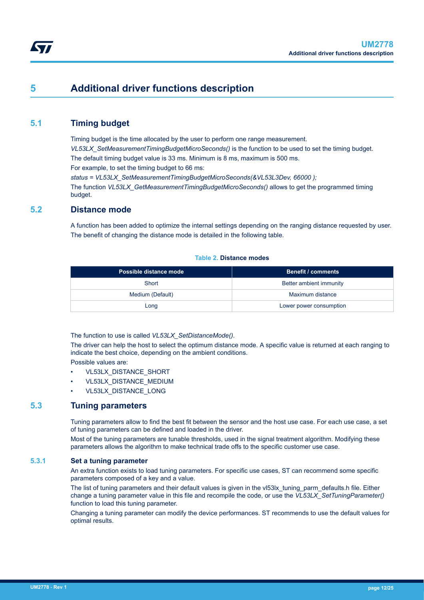## <span id="page-11-0"></span>**5 Additional driver functions description**

## **5.1 Timing budget**

Timing budget is the time allocated by the user to perform one range measurement. *VL53LX\_SetMeasurementTimingBudgetMicroSeconds()* is the function to be used to set the timing budget. The default timing budget value is 33 ms. Minimum is 8 ms, maximum is 500 ms. For example, to set the timing budget to 66 ms:

*status = VL53LX\_SetMeasurementTimingBudgetMicroSeconds(&VL53L3Dev, 66000 );* The function *VL53LX\_GetMeasurementTimingBudgetMicroSeconds()* allows to get the programmed timing budget.

## **5.2 Distance mode**

A function has been added to optimize the internal settings depending on the ranging distance requested by user. The benefit of changing the distance mode is detailed in the following table.

#### **Table 2. Distance modes**

| Possible distance mode | <b>Benefit / comments</b> |
|------------------------|---------------------------|
| Short                  | Better ambient immunity   |
| Medium (Default)       | Maximum distance          |
| Long                   | Lower power consumption   |

### The function to use is called *VL53LX\_SetDistanceMode()*.

The driver can help the host to select the optimum distance mode. A specific value is returned at each ranging to indicate the best choice, depending on the ambient conditions.

Possible values are:

- VL53LX\_DISTANCE\_SHORT
- VL53LX\_DISTANCE\_MEDIUM
- VL53LX\_DISTANCE\_LONG

## **5.3 Tuning parameters**

Tuning parameters allow to find the best fit between the sensor and the host use case. For each use case, a set of tuning parameters can be defined and loaded in the driver.

Most of the tuning parameters are tunable thresholds, used in the signal treatment algorithm. Modifying these parameters allows the algorithm to make technical trade offs to the specific customer use case.

#### **5.3.1 Set a tuning parameter**

An extra function exists to load tuning parameters. For specific use cases, ST can recommend some specific parameters composed of a key and a value.

The list of tuning parameters and their default values is given in the vl53lx\_tuning\_parm\_defaults.h file. Either change a tuning parameter value in this file and recompile the code, or use the *VL53LX\_SetTuningParameter()* function to load this tuning parameter.

Changing a tuning parameter can modify the device performances. ST recommends to use the default values for optimal results.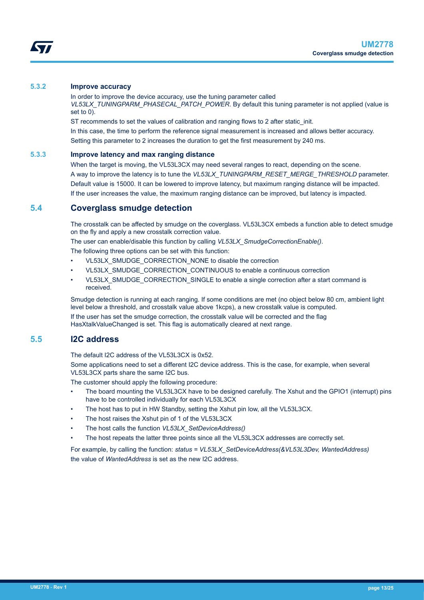<span id="page-12-0"></span>

### **5.3.2 Improve accuracy**

In order to improve the device accuracy, use the tuning parameter called *VL53LX\_TUNINGPARM\_PHASECAL\_PATCH\_POWER*. By default this tuning parameter is not applied (value is set to 0).

ST recommends to set the values of calibration and ranging flows to 2 after static init.

In this case, the time to perform the reference signal measurement is increased and allows better accuracy. Setting this parameter to 2 increases the duration to get the first measurement by 240 ms.

#### **5.3.3 Improve latency and max ranging distance**

When the target is moving, the VL53L3CX may need several ranges to react, depending on the scene. A way to improve the latency is to tune the *VL53LX\_TUNINGPARM\_RESET\_MERGE\_THRESHOLD* parameter. Default value is 15000. It can be lowered to improve latency, but maximum ranging distance will be impacted. If the user increases the value, the maximum ranging distance can be improved, but latency is impacted.

## **5.4 Coverglass smudge detection**

The crosstalk can be affected by smudge on the coverglass. VL53L3CX embeds a function able to detect smudge on the fly and apply a new crosstalk correction value.

The user can enable/disable this function by calling *VL53LX\_SmudgeCorrectionEnable()*.

The following three options can be set with this function:

- VL53LX\_SMUDGE\_CORRECTION\_NONE to disable the correction
- VL53LX\_SMUDGE\_CORRECTION\_CONTINUOUS to enable a continuous correction
- VL53LX\_SMUDGE\_CORRECTION\_SINGLE to enable a single correction after a start command is received.

Smudge detection is running at each ranging. If some conditions are met (no object below 80 cm, ambient light level below a threshold, and crosstalk value above 1kcps), a new crosstalk value is computed.

If the user has set the smudge correction, the crosstalk value will be corrected and the flag HasXtalkValueChanged is set. This flag is automatically cleared at next range.

## **5.5 I2C address**

The default I2C address of the VL53L3CX is 0x52.

Some applications need to set a different I2C device address. This is the case, for example, when several VL53L3CX parts share the same I2C bus.

The customer should apply the following procedure:

- The board mounting the VL53L3CX have to be designed carefully. The Xshut and the GPIO1 (interrupt) pins have to be controlled individually for each VL53L3CX
- The host has to put in HW Standby, setting the Xshut pin low, all the VL53L3CX.
- The host raises the Xshut pin of 1 of the VL53L3CX
- The host calls the function *VL53LX\_SetDeviceAddress()*
- The host repeats the latter three points since all the VL53L3CX addresses are correctly set.

For example, by calling the function: *status = VL53LX\_SetDeviceAddress(&VL53L3Dev, WantedAddress)* the value of *WantedAddress* is set as the new I2C address.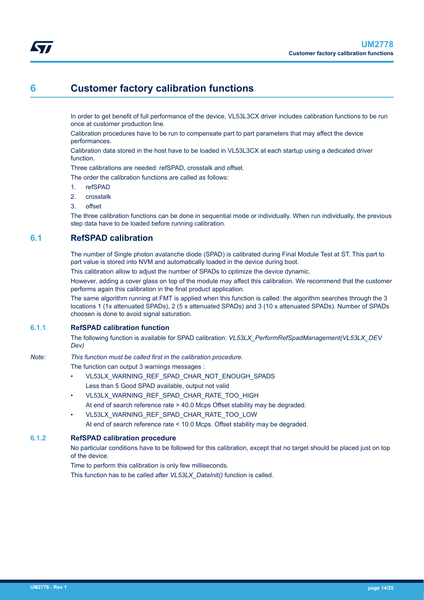## <span id="page-13-0"></span>**6 Customer factory calibration functions**

In order to get benefit of full performance of the device, VL53L3CX driver includes calibration functions to be run once at customer production line.

Calibration procedures have to be run to compensate part to part parameters that may affect the device performances.

Calibration data stored in the host have to be loaded in VL53L3CX at each startup using a dedicated driver function.

Three calibrations are needed: refSPAD, crosstalk and offset.

The order the calibration functions are called as follows:

- 1. refSPAD
- 2. crosstalk
- 3. offset

The three calibration functions can be done in sequential mode or individually. When run individually, the previous step data have to be loaded before running calibration.

## **6.1 RefSPAD calibration**

The number of Single photon avalanche diode (SPAD) is calibrated during Final Module Test at ST. This part to part value is stored into NVM and automatically loaded in the device during boot.

This calibration allow to adjust the number of SPADs to optimize the device dynamic.

However, adding a cover glass on top of the module may affect this calibration. We recommend that the customer performs again this calibration in the final product application.

The same algorithm running at FMT is applied when this function is called: the algorithm searches through the 3 locations 1 (1x attenuated SPADs), 2 (5 x attenuated SPADs) and 3 (10 x attenuated SPADs). Number of SPADs choosen is done to avoid signal saturation.

#### **6.1.1 RefSPAD calibration function**

The following function is available for SPAD calibration: *VL53LX\_PerformRefSpadManagement(VL53LX\_DEV Dev)*

#### *Note: This function must be called first in the calibration procedure.*

The function can output 3 warnings messages :

- VL53LX\_WARNING\_REF\_SPAD\_CHAR\_NOT\_ENOUGH\_SPADS Less than 5 Good SPAD available, output not valid
- VL53LX\_WARNING\_REF\_SPAD\_CHAR\_RATE\_TOO\_HIGH At end of search reference rate > 40.0 Mcps Offset stability may be degraded.
- VL53LX\_WARNING\_REF\_SPAD\_CHAR\_RATE\_TOO\_LOW At end of search reference rate < 10.0 Mcps. Offset stability may be degraded.

#### **6.1.2 RefSPAD calibration procedure**

No particular conditions have to be followed for this calibration, except that no target should be placed just on top of the device.

Time to perform this calibration is only few milliseconds.

This function has to be called after *VL53LX\_DataInit()* function is called.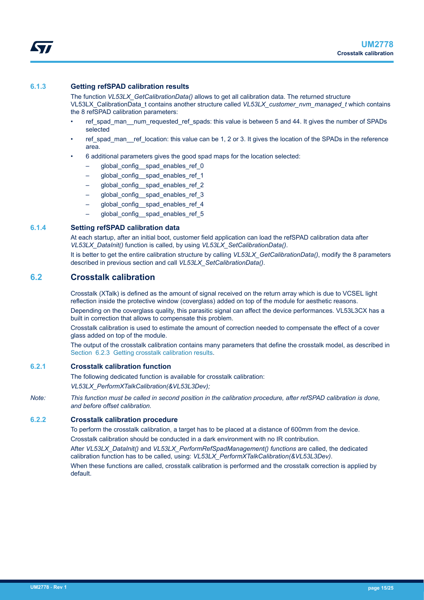### <span id="page-14-0"></span>**6.1.3 Getting refSPAD calibration results**

The function *VL53LX\_GetCalibrationData()* allows to get all calibration data. The returned structure VL53LX\_CalibrationData\_t contains another structure called *VL53LX\_customer\_nvm\_managed\_t* which contains the 8 refSPAD calibration parameters:

- ref\_spad\_man\_\_num\_requested\_ref\_spads: this value is between 5 and 44. It gives the number of SPADs selected
- ref spad man ref location: this value can be 1, 2 or 3. It gives the location of the SPADs in the reference area.
- 6 additional parameters gives the good spad maps for the location selected:
	- global config spad enables ref 0
	- global\_config\_\_spad\_enables\_ref\_1
	- global\_config\_ spad\_enables\_ref\_2
	- global\_config\_\_spad\_enables\_ref\_3
	- global config spad enables ref 4
	- global config spad enables ref 5

#### **6.1.4 Setting refSPAD calibration data**

At each startup, after an initial boot, customer field application can load the refSPAD calibration data after *VL53LX\_DataInit()* function is called, by using *VL53LX\_SetCalibrationData()*.

It is better to get the entire calibration structure by calling *VL53LX GetCalibrationData()*, modify the 8 parameters described in previous section and call *VL53LX\_SetCalibrationData()*.

## **6.2 Crosstalk calibration**

Crosstalk (XTalk) is defined as the amount of signal received on the return array which is due to VCSEL light reflection inside the protective window (coverglass) added on top of the module for aesthetic reasons.

Depending on the coverglass quality, this parasitic signal can affect the device performances. VL53L3CX has a built in correction that allows to compensate this problem.

Crosstalk calibration is used to estimate the amount of correction needed to compensate the effect of a cover glass added on top of the module.

The output of the crosstalk calibration contains many parameters that define the crosstalk model, as described in [Section 6.2.3 Getting crosstalk calibration results.](#page-15-0)

#### **6.2.1 Crosstalk calibration function**

The following dedicated function is available for crosstalk calibration:

*VL53LX\_PerformXTalkCalibration(&VL53L3Dev);*

*Note: This function must be called in second position in the calibration procedure, after refSPAD calibration is done, and before offset calibration.*

### **6.2.2 Crosstalk calibration procedure**

To perform the crosstalk calibration, a target has to be placed at a distance of 600mm from the device. Crosstalk calibration should be conducted in a dark environment with no IR contribution.

After *VL53LX\_DataInit()* and *VL53LX\_PerformRefSpadManagement() functions* are called, the dedicated calibration function has to be called, using: *VL53LX\_PerformXTalkCalibration(&VL53L3Dev)*. When these functions are called, crosstalk calibration is performed and the crosstalk correction is applied by default.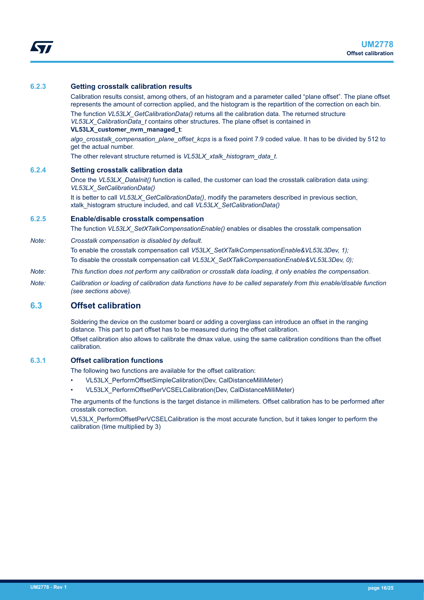#### <span id="page-15-0"></span>**6.2.3 Getting crosstalk calibration results**

Calibration results consist, among others, of an histogram and a parameter called "plane offset". The plane offset represents the amount of correction applied, and the histogram is the repartition of the correction on each bin. The function *VL53LX\_GetCalibrationData()* returns all the calibration data. The returned structure *VL53LX\_CalibrationData\_t* contains other structures. The plane offset is contained in **VL53LX\_customer\_nvm\_managed\_t**:

*algo\_crosstalk\_compensation\_plane\_offset\_kcps* is a fixed point 7.9 coded value. It has to be divided by 512 to get the actual number.

The other relevant structure returned is *VL53LX\_xtalk\_histogram\_data\_t*.

#### **6.2.4 Setting crosstalk calibration data**

Once the *VL53LX\_DataInit()* function is called, the customer can load the crosstalk calibration data using: *VL53LX\_SetCalibrationData()*

It is better to call *VL53LX\_GetCalibrationData()*, modify the parameters described in previous section, xtalk\_histogram structure included, and call *VL53LX\_SetCalibrationData()*

#### **6.2.5 Enable/disable crosstalk compensation**

The function *VL53LX\_SetXTalkCompensationEnable()* enables or disables the crosstalk compensation

*Note: Crosstalk compensation is disabled by default.*

To enable the crosstalk compensation call *V53LX\_SetXTalkCompensationEnable&VL53L3Dev, 1);* To disable the crosstalk compensation call *VL53LX\_SetXTalkCompensationEnable&VL53L3Dev, 0);*

- *Note: This function does not perform any calibration or crosstalk data loading, it only enables the compensation.*
- *Note: Calibration or loading of calibration data functions have to be called separately from this enable/disable function (see sections above).*

## **6.3 Offset calibration**

Soldering the device on the customer board or adding a coverglass can introduce an offset in the ranging distance. This part to part offset has to be measured during the offset calibration. Offset calibration also allows to calibrate the dmax value, using the same calibration conditions than the offset calibration.

### **6.3.1 Offset calibration functions**

The following two functions are available for the offset calibration:

- VL53LX\_PerformOffsetSimpleCalibration(Dev, CalDistanceMilliMeter)
- VL53LX\_PerformOffsetPerVCSELCalibration(Dev, CalDistanceMilliMeter)

The arguments of the functions is the target distance in millimeters. Offset calibration has to be performed after crosstalk correction.

VL53LX\_PerformOffsetPerVCSELCalibration is the most accurate function, but it takes longer to perform the calibration (time multiplied by 3)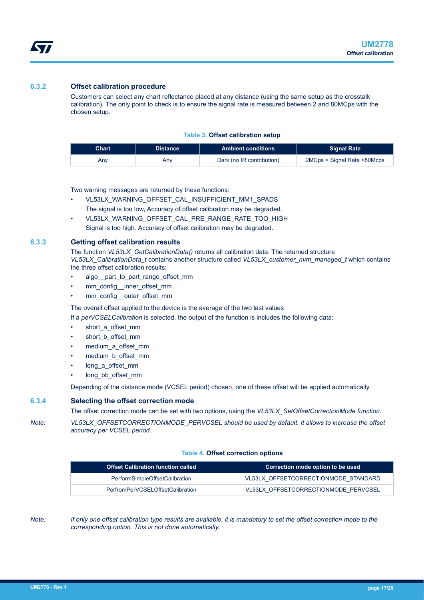### <span id="page-16-0"></span>**6.3.2 Offset calibration procedure**

Customers can select any chart reflectance placed at any distance (using the same setup as the crosstalk calibration). The only point to check is to ensure the signal rate is measured between 2 and 80MCps with the chosen setup.

#### **Table 3. Offset calibration setup**

| <b>Chart</b> | <b>Distance</b> | <b>Ambient conditions</b> | Signal Rate                 |
|--------------|-----------------|---------------------------|-----------------------------|
| Anv          | Anv             | Dark (no IR contribution) | 2MCps < Signal Rate <80Mcps |

Two warning messages are returned by these functions:

- VL53LX\_WARNING\_OFFSET\_CAL\_INSUFFICIENT\_MM1\_SPADS The signal is too low, Accuracy of offset calibration may be degraded.
- VL53LX\_WARNING\_OFFSET\_CAL\_PRE\_RANGE\_RATE\_TOO\_HIGH Signal is too high. Accuracy of offset calibration may be degraded.

#### **6.3.3 Getting offset calibration results**

The function *VL53LX\_GetCalibrationData()* returns all calibration data. The returned structure *VL53LX\_CalibrationData\_t* contains another structure called *VL53LX\_customer\_nvm\_managed\_t* which contains the three offset calibration results:

- algo\_\_part\_to\_part\_range\_offset\_mm
- mm\_config\_\_inner\_offset\_mm
- mm\_config\_\_outer\_offset\_mm

The overall offset applied to the device is the average of the two last values

If a *perVCSELCalibration* is selected, the output of the function is includes the following data:

- short\_a\_offset\_mm
- short\_b\_offset\_mm
- medium\_a\_offset\_mm
- medium\_b\_offset\_mm
- long a offset mm
- long\_bb\_offset\_mm

Depending of the distance mode (VCSEL period) chosen, one of these offset will be applied automatically.

## **6.3.4 Selecting the offset correction mode**

The offset correction mode can be set with two options, using the *VL53LX\_SetOffsetCorrectionMode function*.

*Note: VL53LX\_OFFSETCORRECTIONMODE\_PERVCSEL should be used by default. It allows to increase the offset accuracy per VCSEL period.*

#### **Table 4. Offset correction options**

| <b>Offset Calibration function called</b> | Correction mode option to be used    |
|-------------------------------------------|--------------------------------------|
| PerformSimpleOffsetCalibration            | VL53LX OFFSETCORRECTIONMODE STANDARD |
| PerfromPerVCSELOffsetCalibration          | VL53LX OFFSETCORRECTIONMODE PERVCSEL |

*Note: If only one offset calibration type results are available, it is mandatory to set the offset correction mode to the corresponding option. This is not done automatically.*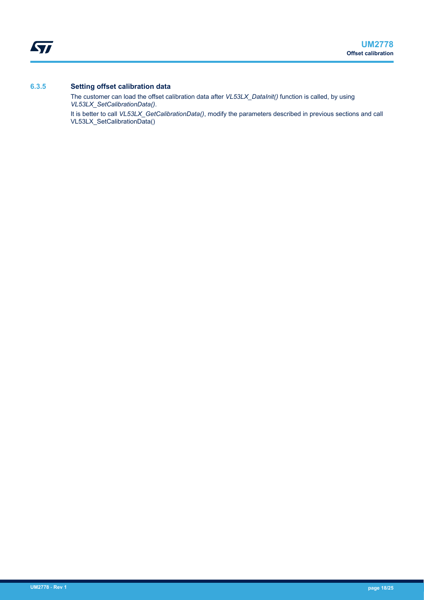<span id="page-17-0"></span>ST

### **6.3.5 Setting offset calibration data**

The customer can load the offset calibration data after *VL53LX\_DataInit()* function is called, by using *VL53LX\_SetCalibrationData()*.

It is better to call *VL53LX\_GetCalibrationData()*, modify the parameters described in previous sections and call VL53LX\_SetCalibrationData()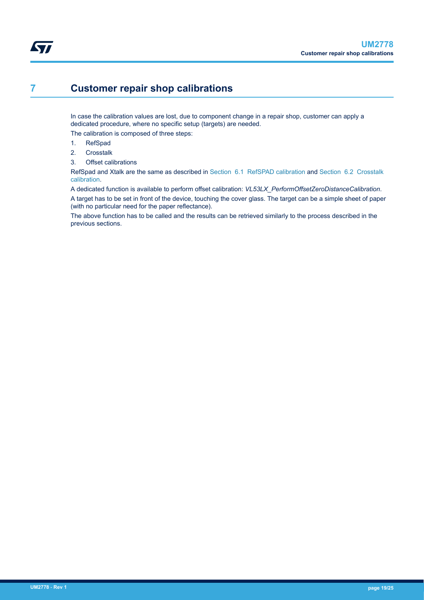## <span id="page-18-0"></span>**7 Customer repair shop calibrations**

In case the calibration values are lost, due to component change in a repair shop, customer can apply a dedicated procedure, where no specific setup (targets) are needed.

The calibration is composed of three steps:

- 1. RefSpad
- 2. Crosstalk
- 3. Offset calibrations

RefSpad and Xtalk are the same as described in [Section 6.1 RefSPAD calibration](#page-13-0) and [Section 6.2 Crosstalk](#page-14-0) [calibration](#page-14-0).

A dedicated function is available to perform offset calibration: *VL53LX\_PerformOffsetZeroDistanceCalibration*. A target has to be set in front of the device, touching the cover glass. The target can be a simple sheet of paper (with no particular need for the paper reflectance).

The above function has to be called and the results can be retrieved similarly to the process described in the previous sections.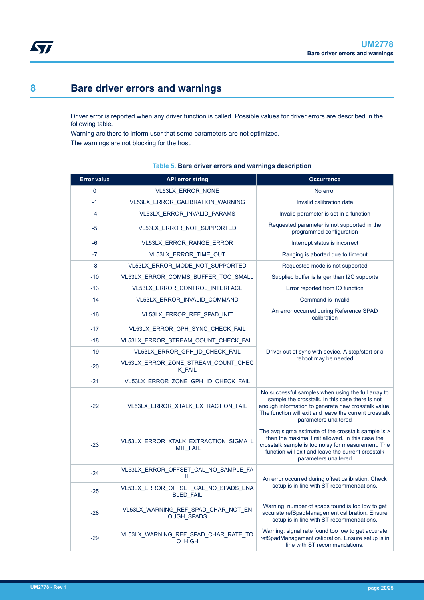## <span id="page-19-0"></span>**8 Bare driver errors and warnings**

Driver error is reported when any driver function is called. Possible values for driver errors are described in the following table.

Warning are there to inform user that some parameters are not optimized.

\_<sub>28</sub> VL53LX\_WARNING\_REF\_SPAD\_CHAR\_NOT\_EN

-29 VL53LX\_WARNING\_REF\_SPAD\_CHAR\_RATE\_TO

OUGH\_SPADS

O\_HIGH

The warnings are not blocking for the host.

#### **Error value API error string Occurrence** 0 VL53LX\_ERROR\_NONE No error -1 VL53LX\_ERROR\_CALIBRATION\_WARNING Invalid calibration data -4 VL53LX\_ERROR\_INVALID\_PARAMS Invalid parameter is set in a function -5 VL53LX\_ERROR\_NOT\_SUPPORTED Requested parameter is not supported in the programmed configuration -6 VL53LX\_ERROR\_RANGE\_ERROR Interrupt status is incorrect -7 VL53LX ERROR\_TIME\_OUT Ranging is aborted due to timeout -8 VL53LX\_ERROR\_MODE\_NOT\_SUPPORTED Requested mode is not supported -10 VL53LX\_ERROR\_COMMS\_BUFFER\_TOO\_SMALL Supplied buffer is larger than I2C supports -13 VL53LX\_ERROR\_CONTROL\_INTERFACE Error reported from IO function -14 VL53LX\_ERROR\_INVALID\_COMMAND Command is invalid -16 VL53LX\_ERROR\_REF\_SPAD\_INIT An error occurred during Reference SPAD calibration -17 VL53LX\_ERROR\_GPH\_SYNC\_CHECK\_FAIL Driver out of sync with device. A stop/start or a reboot may be needed -18 | VL53LX\_ERROR\_STREAM\_COUNT\_CHECK\_FAIL -19 VL53LX\_ERROR\_GPH\_ID\_CHECK\_FAIL -20 VL53LX\_ERROR\_ZONE\_STREAM\_COUNT\_CHEC K\_FAIL -21 VL53LX\_ERROR\_ZONE\_GPH\_ID\_CHECK\_FAIL -22 VL53LX\_ERROR\_XTALK\_EXTRACTION\_FAIL No successful samples when using the full array to sample the crosstalk. In this case there is not enough information to generate new crosstalk value. The function will exit and leave the current crosstalk parameters unaltered -23 VL53LX\_ERROR\_XTALK\_EXTRACTION\_SIGMA\_L IMIT\_FAIL The avg sigma estimate of the crosstalk sample is > than the maximal limit allowed. In this case the crosstalk sample is too noisy for measurement. The function will exit and leave the current crosstalk parameters unaltered -24 VL53LX\_ERROR\_OFFSET\_CAL\_NO\_SAMPLE\_FA An error occurred during offset calibration. Check setup is in line with ST recommendations. -25 VL53LX\_ERROR\_OFFSET\_CAL\_NO\_SPADS\_ENA BLED\_FAIL

#### **Table 5. Bare driver errors and warnings description**

Warning: number of spads found is too low to get accurate refSpadManagement calibration. Ensure setup is in line with ST recommendations.

Warning: signal rate found too low to get accurate refSpadManagement calibration. Ensure setup is in line with ST recommendations.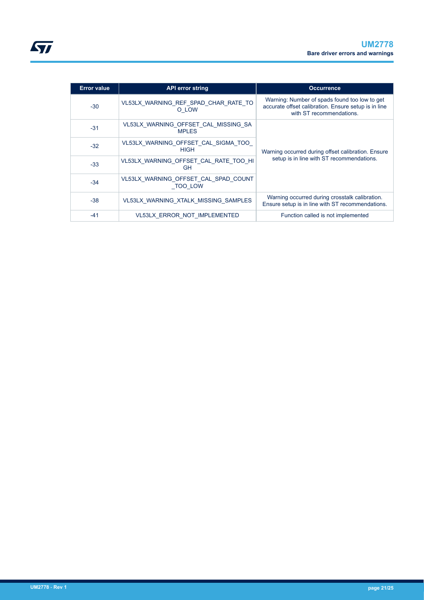| <b>Error value</b> | <b>API error string</b>                                | <b>Occurrence</b>                                                                                                                 |  |
|--------------------|--------------------------------------------------------|-----------------------------------------------------------------------------------------------------------------------------------|--|
| $-30$              | VL53LX WARNING REF SPAD CHAR RATE TO<br>O LOW          | Warning: Number of spads found too low to get<br>accurate offset calibration. Ensure setup is in line<br>with ST recommendations. |  |
| $-31$              | VL53LX WARNING OFFSET CAL MISSING SA<br><b>MPI FS</b>  |                                                                                                                                   |  |
| $-32$              | VL53LX WARNING OFFSET CAL SIGMA TOO<br><b>HIGH</b>     | Warning occurred during offset calibration. Ensure                                                                                |  |
| $-33$              | VL53LX_WARNING_OFFSET_CAL_RATE_TOO_HI<br>GH            | setup is in line with ST recommendations.                                                                                         |  |
| $-34$              | VL53LX WARNING OFFSET CAL SPAD COUNT<br><b>TOO LOW</b> |                                                                                                                                   |  |
| $-38$              | VL53LX WARNING XTALK MISSING SAMPLES                   | Warning occurred during crosstalk calibration.<br>Ensure setup is in line with ST recommendations.                                |  |
| $-41$              | VL53LX ERROR NOT IMPLEMENTED                           | Function called is not implemented                                                                                                |  |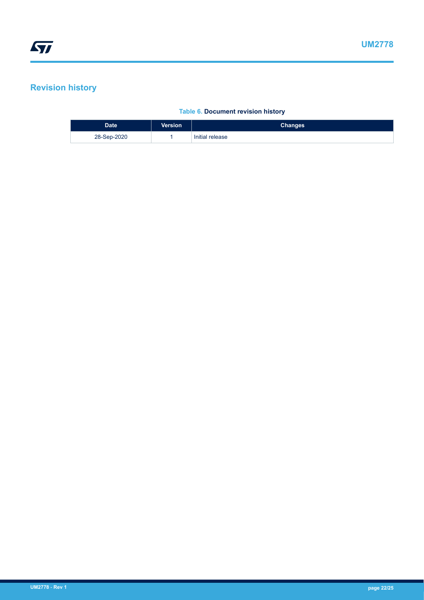# <span id="page-21-0"></span>**Revision history**

## **Table 6. Document revision history**

| <b>Date</b> | <b>Version</b> | <b>Changes</b>  |
|-------------|----------------|-----------------|
| 28-Sep-2020 |                | Initial release |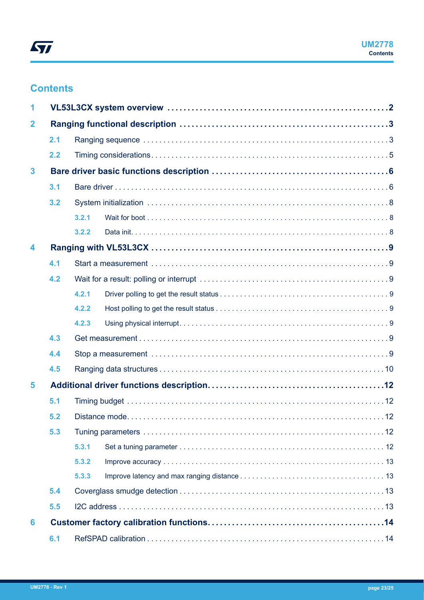## <span id="page-22-0"></span>**Contents**

| 1              |     |       |  |  |  |  |
|----------------|-----|-------|--|--|--|--|
| $\overline{2}$ |     |       |  |  |  |  |
|                | 2.1 |       |  |  |  |  |
|                | 2.2 |       |  |  |  |  |
| 3              |     |       |  |  |  |  |
|                | 3.1 |       |  |  |  |  |
|                | 3.2 |       |  |  |  |  |
|                |     | 3.2.1 |  |  |  |  |
|                |     | 3.2.2 |  |  |  |  |
| 4              |     |       |  |  |  |  |
|                | 4.1 |       |  |  |  |  |
|                | 4.2 |       |  |  |  |  |
|                |     | 4.2.1 |  |  |  |  |
|                |     | 4.2.2 |  |  |  |  |
|                |     | 4.2.3 |  |  |  |  |
|                | 4.3 |       |  |  |  |  |
|                | 4.4 |       |  |  |  |  |
|                | 4.5 |       |  |  |  |  |
| 5              |     |       |  |  |  |  |
|                | 5.1 |       |  |  |  |  |
|                | 5.2 |       |  |  |  |  |
|                | 5.3 |       |  |  |  |  |
|                |     | 5.3.1 |  |  |  |  |
|                |     | 5.3.2 |  |  |  |  |
|                |     | 5.3.3 |  |  |  |  |
|                | 5.4 |       |  |  |  |  |
|                | 5.5 |       |  |  |  |  |
| 6              |     |       |  |  |  |  |
|                | 6.1 |       |  |  |  |  |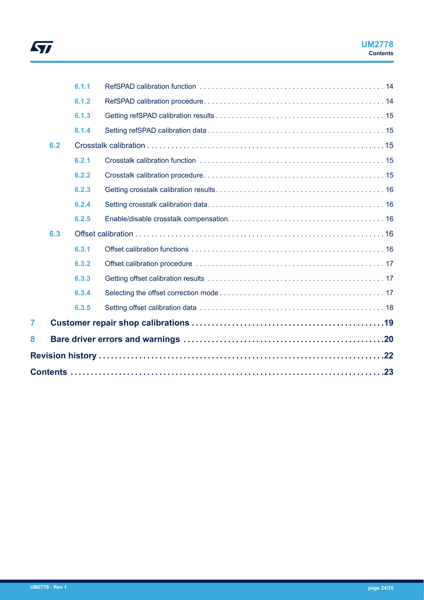

|                |     | 6.1.1 |  |
|----------------|-----|-------|--|
|                |     | 6.1.2 |  |
|                |     | 6.1.3 |  |
|                |     | 6.1.4 |  |
|                | 6.2 |       |  |
|                |     | 6.2.1 |  |
|                |     | 6.2.2 |  |
|                |     | 6.2.3 |  |
|                |     | 6.2.4 |  |
|                |     | 6.2.5 |  |
|                | 6.3 |       |  |
|                |     | 6.3.1 |  |
|                |     | 6.3.2 |  |
|                |     | 6.3.3 |  |
|                |     | 6.3.4 |  |
|                |     | 6.3.5 |  |
| $\overline{7}$ |     |       |  |
| 8              |     |       |  |
|                |     |       |  |
|                |     |       |  |
|                |     |       |  |